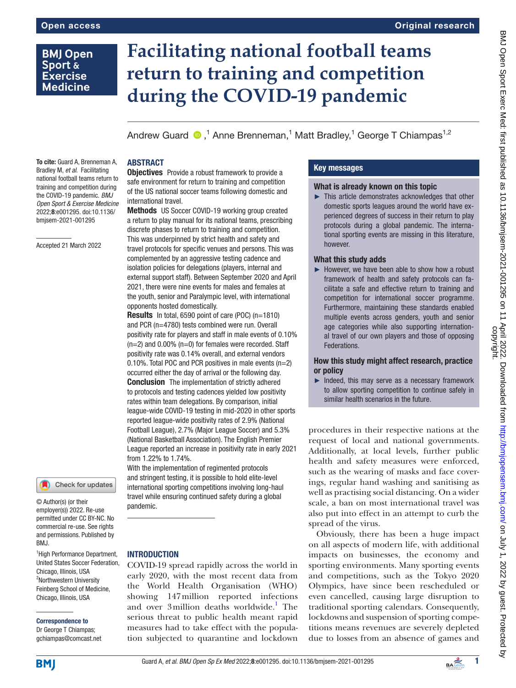## **BMJ Open** Sport & **Exercise Medicine**

# **Facilitating national football teams return to training and competition during the COVID-19 pandemic**

Andrew Guard  $\bigcirc$  ,<sup>1</sup> Anne Brenneman,<sup>1</sup> Matt Bradley,<sup>1</sup> George T Chiampas<sup>1,2</sup>

#### ABSTRACT

To cite: Guard A, Brenneman A, Bradley M, *et al*. Facilitating national football teams return to training and competition during the COVID-19 pandemic. *BMJ Open Sport & Exercise Medicine* 2022;8:e001295. doi:10.1136/

Accepted 21 March 2022

bmjsem-2021-001295

# Check for updates

© Author(s) (or their employer(s)) 2022. Re-use permitted under CC BY-NC. No commercial re-use. See rights and permissions. Published by BMJ.

1 High Performance Department, United States Soccer Federation, Chicago, Illinois, USA <sup>2</sup>Northwestern University Feinberg School of Medicine, Chicago, Illinois, USA

Correspondence to Dr George T Chiampas;

gchiampas@comcast.net

#### **Objectives** Provide a robust framework to provide a safe environment for return to training and competition of the US national soccer teams following domestic and international travel.

Methods US Soccer COVID-19 working group created a return to play manual for its national teams, prescribing discrete phases to return to training and competition. This was underpinned by strict health and safety and travel protocols for specific venues and persons. This was complemented by an aggressive testing cadence and isolation policies for delegations (players, internal and external support staff). Between September 2020 and April 2021, there were nine events for males and females at the youth, senior and Paralympic level, with international opponents hosted domestically.

Results In total, 6590 point of care (POC) (n=1810) and PCR (n=4780) tests combined were run. Overall positivity rate for players and staff in male events of 0.10% (n=2) and 0.00% (n=0) for females were recorded. Staff positivity rate was 0.14% overall, and external vendors 0.10%. Total POC and PCR positives in male events (n=2) occurred either the day of arrival or the following day. **Conclusion** The implementation of strictly adhered to protocols and testing cadences yielded low positivity rates within team delegations. By comparison, initial league-wide COVID-19 testing in mid-2020 in other sports reported league-wide positivity rates of 2.9% (National Football League), 2.7% (Major League Soccer) and 5.3% (National Basketball Association). The English Premier League reported an increase in positivity rate in early 2021 from 1.22% to 1.74%.

With the implementation of regimented protocols and stringent testing, it is possible to hold elite-level international sporting competitions involving long-haul travel while ensuring continued safety during a global pandemic.

#### **INTRODUCTION**

COVID-19 spread rapidly across the world in early 2020, with the most recent data from the World Health Organisation (WHO) showing 147million reported infections and over 3 million deaths worldwide.<sup>1</sup> The serious threat to public health meant rapid measures had to take effect with the population subjected to quarantine and lockdown

#### Key messages

#### What is already known on this topic

► This article demonstrates acknowledges that other domestic sports leagues around the world have experienced degrees of success in their return to play protocols during a global pandemic. The international sporting events are missing in this literature, however.

#### What this study adds

► However, we have been able to show how a robust framework of health and safety protocols can facilitate a safe and effective return to training and competition for international soccer programme. Furthermore, maintaining these standards enabled multiple events across genders, youth and senior age categories while also supporting international travel of our own players and those of opposing Federations.

How this study might affect research, practice or policy

► Indeed, this may serve as a necessary framework to allow sporting competition to continue safely in similar health scenarios in the future.

procedures in their respective nations at the request of local and national governments. Additionally, at local levels, further public health and safety measures were enforced, such as the wearing of masks and face coverings, regular hand washing and sanitising as well as practising social distancing. On a wider scale, a ban on most international travel was also put into effect in an attempt to curb the spread of the virus.

Obviously, there has been a huge impact on all aspects of modern life, with additional impacts on businesses, the economy and sporting environments. Many sporting events and competitions, such as the Tokyo 2020 Olympics, have since been rescheduled or even cancelled, causing large disruption to traditional sporting calendars. Consequently, lockdowns and suspension of sporting competitions means revenues are severely depleted due to losses from an absence of games and

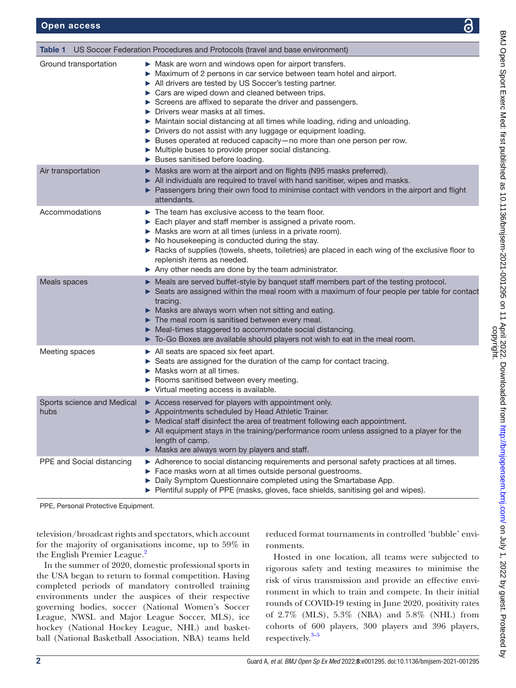<span id="page-1-0"></span>

| US Soccer Federation Procedures and Protocols (travel and base environment)<br>Table 1 |                                                                                                                                                                                                                                                                                                                                                                                                                                                                                                                                                                                                                                                                                          |  |
|----------------------------------------------------------------------------------------|------------------------------------------------------------------------------------------------------------------------------------------------------------------------------------------------------------------------------------------------------------------------------------------------------------------------------------------------------------------------------------------------------------------------------------------------------------------------------------------------------------------------------------------------------------------------------------------------------------------------------------------------------------------------------------------|--|
| Ground transportation                                                                  | • Mask are worn and windows open for airport transfers.<br>• Maximum of 2 persons in car service between team hotel and airport.<br>All drivers are tested by US Soccer's testing partner.<br>Cars are wiped down and cleaned between trips.<br>Screens are affixed to separate the driver and passengers.<br>$\triangleright$ Drivers wear masks at all times.<br>> Maintain social distancing at all times while loading, riding and unloading.<br>> Drivers do not assist with any luggage or equipment loading.<br>> Buses operated at reduced capacity-no more than one person per row.<br>• Multiple buses to provide proper social distancing.<br>Buses sanitised before loading. |  |
| Air transportation                                                                     | • Masks are worn at the airport and on flights (N95 masks preferred).<br>All individuals are required to travel with hand sanitiser, wipes and masks.<br>▶ Passengers bring their own food to minimise contact with vendors in the airport and flight<br>attendants.                                                                                                                                                                                                                                                                                                                                                                                                                     |  |
| Accommodations                                                                         | $\triangleright$ The team has exclusive access to the team floor.<br>Each player and staff member is assigned a private room.<br>$\triangleright$ Masks are worn at all times (unless in a private room).<br>$\triangleright$ No housekeeping is conducted during the stay.<br>Racks of supplies (towels, sheets, toiletries) are placed in each wing of the exclusive floor to<br>replenish items as needed.<br>$\triangleright$ Any other needs are done by the team administrator.                                                                                                                                                                                                    |  |
| Meals spaces                                                                           | • Meals are served buffet-style by banquet staff members part of the testing protocol.<br>$\triangleright$ Seats are assigned within the meal room with a maximum of four people per table for contact<br>tracing.<br>Masks are always worn when not sitting and eating.<br>$\blacktriangleright$ The meal room is sanitised between every meal.<br>• Meal-times staggered to accommodate social distancing.<br>> To-Go Boxes are available should players not wish to eat in the meal room.                                                                                                                                                                                             |  |
| Meeting spaces                                                                         | $\triangleright$ All seats are spaced six feet apart.<br>Seats are assigned for the duration of the camp for contact tracing.<br>Masks worn at all times.<br>▶ Rooms sanitised between every meeting.<br>$\triangleright$ Virtual meeting access is available.                                                                                                                                                                                                                                                                                                                                                                                                                           |  |
| Sports science and Medical<br>hubs                                                     | Access reserved for players with appointment only.<br>Appointments scheduled by Head Athletic Trainer.<br>Medical staff disinfect the area of treatment following each appointment.<br>All equipment stays in the training/performance room unless assigned to a player for the<br>length of camp.<br>Masks are always worn by players and staff.                                                                                                                                                                                                                                                                                                                                        |  |
| PPE and Social distancing                                                              | Adherence to social distancing requirements and personal safety practices at all times.<br>Face masks worn at all times outside personal guestrooms.<br>▶ Daily Symptom Questionnaire completed using the Smartabase App.<br>Plentiful supply of PPE (masks, gloves, face shields, sanitising gel and wipes).                                                                                                                                                                                                                                                                                                                                                                            |  |

PPE, Personal Protective Equipment.

television/broadcast rights and spectators, which account for the majority of organisations income, up to 59% in the English Premier League.<sup>2</sup>

In the summer of 2020, domestic professional sports in the USA began to return to formal competition. Having completed periods of mandatory controlled training environments under the auspices of their respective governing bodies, soccer (National Women's Soccer League, NWSL and Major League Soccer, MLS), ice hockey (National Hockey League, NHL) and basketball (National Basketball Association, NBA) teams held

reduced format tournaments in controlled 'bubble' environments.

Hosted in one location, all teams were subjected to rigorous safety and testing measures to minimise the risk of virus transmission and provide an effective environment in which to train and compete. In their initial rounds of COVID-19 testing in June 2020, positivity rates of 2.7% (MLS), 5.3% (NBA) and 5.8% (NHL) from cohorts of 600 players, 300 players and 396 players, respectively. [3–5](#page-6-2)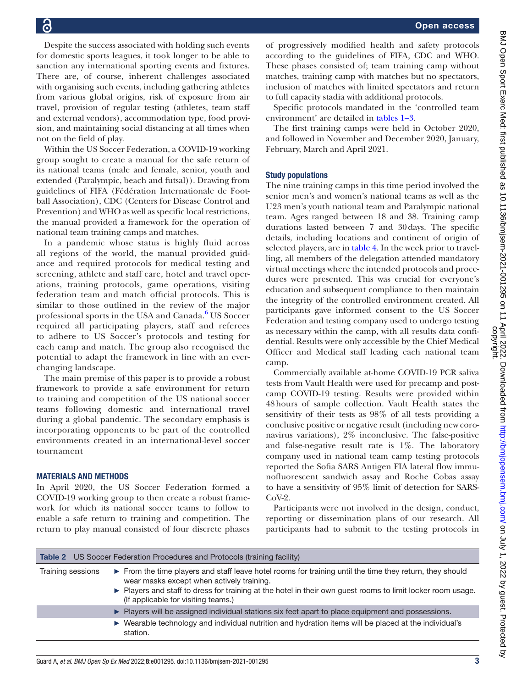Despite the success associated with holding such events for domestic sports leagues, it took longer to be able to sanction any international sporting events and fixtures. There are, of course, inherent challenges associated with organising such events, including gathering athletes from various global origins, risk of exposure from air travel, provision of regular testing (athletes, team staff and external vendors), accommodation type, food provision, and maintaining social distancing at all times when not on the field of play.

Within the US Soccer Federation, a COVID-19 working group sought to create a manual for the safe return of its national teams (male and female, senior, youth and extended (Paralympic, beach and futsal)). Drawing from guidelines of FIFA (Fédération Internationale de Football Association), CDC (Centers for Disease Control and Prevention) and WHO as well as specific local restrictions, the manual provided a framework for the operation of national team training camps and matches.

In a pandemic whose status is highly fluid across all regions of the world, the manual provided guidance and required protocols for medical testing and screening, athlete and staff care, hotel and travel operations, training protocols, game operations, visiting federation team and match official protocols. This is similar to those outlined in the review of the major professional sports in the USA and Canada.<sup>[6](#page-6-3)</sup> US Soccer required all participating players, staff and referees to adhere to US Soccer's protocols and testing for each camp and match. The group also recognised the potential to adapt the framework in line with an everchanging landscape.

The main premise of this paper is to provide a robust framework to provide a safe environment for return to training and competition of the US national soccer teams following domestic and international travel during a global pandemic. The secondary emphasis is incorporating opponents to be part of the controlled environments created in an international-level soccer tournament

#### MATERIALS AND METHODS

In April 2020, the US Soccer Federation formed a COVID-19 working group to then create a robust framework for which its national soccer teams to follow to enable a safe return to training and competition. The return to play manual consisted of four discrete phases

of progressively modified health and safety protocols according to the guidelines of FIFA, CDC and WHO. These phases consisted of; team training camp without matches, training camp with matches but no spectators, inclusion of matches with limited spectators and return to full capacity stadia with additional protocols.

Specific protocols mandated in the 'controlled team environment' are detailed in [tables](#page-1-0) 1–3.

The first training camps were held in October 2020, and followed in November and December 2020, January, February, March and April 2021.

#### Study populations

The nine training camps in this time period involved the senior men's and women's national teams as well as the U23 men's youth national team and Paralympic national team. Ages ranged between 18 and 38. Training camp durations lasted between 7 and 30days. The specific details, including locations and continent of origin of selected players, are in [table](#page-4-0) 4. In the week prior to travelling, all members of the delegation attended mandatory virtual meetings where the intended protocols and procedures were presented. This was crucial for everyone's education and subsequent compliance to then maintain the integrity of the controlled environment created. All participants gave informed consent to the US Soccer Federation and testing company used to undergo testing as necessary within the camp, with all results data confidential. Results were only accessible by the Chief Medical Officer and Medical staff leading each national team camp.

Commercially available at-home COVID-19 PCR saliva tests from Vault Health were used for precamp and postcamp COVID-19 testing. Results were provided within 48hours of sample collection. Vault Health states the sensitivity of their tests as 98% of all tests providing a conclusive positive or negative result (including new coronavirus variations), 2% inconclusive. The false-positive and false-negative result rate is 1%. The laboratory company used in national team camp testing protocols reported the Sofia SARS Antigen FIA lateral flow immunofluorescent sandwich assay and Roche Cobas assay to have a sensitivity of 95% limit of detection for SARS-CoV-2.

Participants were not involved in the design, conduct, reporting or dissemination plans of our research. All participants had to submit to the testing protocols in

| <b>Table 2</b> US Soccer Federation Procedures and Protocols (training facility) |                                                                                                                                                                                                                                                                                                           |  |
|----------------------------------------------------------------------------------|-----------------------------------------------------------------------------------------------------------------------------------------------------------------------------------------------------------------------------------------------------------------------------------------------------------|--|
| Training sessions                                                                | From the time players and staff leave hotel rooms for training until the time they return, they should<br>wear masks except when actively training.<br>▶ Players and staff to dress for training at the hotel in their own guest rooms to limit locker room usage.<br>(If applicable for visiting teams.) |  |
|                                                                                  | Players will be assigned individual stations six feet apart to place equipment and possessions.                                                                                                                                                                                                           |  |
|                                                                                  | ► Wearable technology and individual nutrition and hydration items will be placed at the individual's<br>station.                                                                                                                                                                                         |  |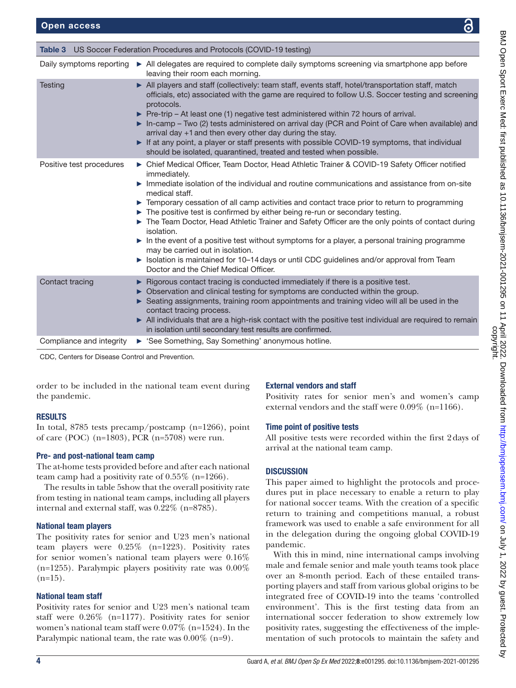| <b>Table 3</b> US Soccer Federation Procedures and Protocols (COVID-19 testing) |                                                                                                                                                                                                                                                                                                                                                                                                                                                                                                                                                                                                                                                                                                                                                                                                                                              |  |
|---------------------------------------------------------------------------------|----------------------------------------------------------------------------------------------------------------------------------------------------------------------------------------------------------------------------------------------------------------------------------------------------------------------------------------------------------------------------------------------------------------------------------------------------------------------------------------------------------------------------------------------------------------------------------------------------------------------------------------------------------------------------------------------------------------------------------------------------------------------------------------------------------------------------------------------|--|
| Daily symptoms reporting                                                        | All delegates are required to complete daily symptoms screening via smartphone app before<br>leaving their room each morning.                                                                                                                                                                                                                                                                                                                                                                                                                                                                                                                                                                                                                                                                                                                |  |
| <b>Testing</b>                                                                  | All players and staff (collectively: team staff, events staff, hotel/transportation staff, match<br>officials, etc) associated with the game are required to follow U.S. Soccer testing and screening<br>protocols.<br>$\triangleright$ Pre-trip – At least one (1) negative test administered within 72 hours of arrival.<br>In-camp - Two (2) tests administered on arrival day (PCR and Point of Care when available) and<br>arrival day +1 and then every other day during the stay.<br>If at any point, a player or staff presents with possible COVID-19 symptoms, that individual<br>should be isolated, quarantined, treated and tested when possible.                                                                                                                                                                               |  |
| Positive test procedures                                                        | ► Chief Medical Officer, Team Doctor, Head Athletic Trainer & COVID-19 Safety Officer notified<br>immediately.<br>$\triangleright$ Immediate isolation of the individual and routine communications and assistance from on-site<br>medical staff.<br>Temporary cessation of all camp activities and contact trace prior to return to programming<br>► The positive test is confirmed by either being re-run or secondary testing.<br>The Team Doctor, Head Athletic Trainer and Safety Officer are the only points of contact during<br>isolation.<br>In the event of a positive test without symptoms for a player, a personal training programme<br>may be carried out in isolation.<br>$\triangleright$ Isolation is maintained for 10–14 days or until CDC guidelines and/or approval from Team<br>Doctor and the Chief Medical Officer. |  |
| Contact tracing                                                                 | ► Rigorous contact tracing is conducted immediately if there is a positive test.<br>► Observation and clinical testing for symptoms are conducted within the group.<br>Seating assignments, training room appointments and training video will all be used in the<br>contact tracing process.<br>All individuals that are a high-risk contact with the positive test individual are required to remain<br>in isolation until secondary test results are confirmed.                                                                                                                                                                                                                                                                                                                                                                           |  |
| Compliance and integrity                                                        | See Something, Say Something' anonymous hotline.                                                                                                                                                                                                                                                                                                                                                                                                                                                                                                                                                                                                                                                                                                                                                                                             |  |

CDC, Centers for Disease Control and Prevention.

order to be included in the national team event during the pandemic.

#### RESULTS

In total, 8785 tests precamp/postcamp (n=1266), point of care (POC) (n=1803), PCR (n=5708) were run.

#### Pre- and post-national team camp

The at-home tests provided before and after each national team camp had a positivity rate of 0.55% (n=1266).

The results in table 5show that the overall positivity rate from testing in national team camps, including all players internal and external staff, was 0.22% (n=8785).

#### National team players

The positivity rates for senior and U23 men's national team players were 0.25% (n=1223). Positivity rates for senior women's national team players were 0.16%  $(n=1255)$ . Paralympic players positivity rate was  $0.00\%$  $(n=15)$ .

#### National team staff

Positivity rates for senior and U23 men's national team staff were 0.26% (n=1177). Positivity rates for senior women's national team staff were 0.07% (n=1524). In the Paralympic national team, the rate was 0.00% (n=9).

#### External vendors and staff

Positivity rates for senior men's and women's camp external vendors and the staff were 0.09% (n=1166).

#### Time point of positive tests

All positive tests were recorded within the first 2days of arrival at the national team camp.

#### **DISCUSSION**

This paper aimed to highlight the protocols and procedures put in place necessary to enable a return to play for national soccer teams. With the creation of a specific return to training and competitions manual, a robust framework was used to enable a safe environment for all in the delegation during the ongoing global COVID-19 pandemic.

With this in mind, nine international camps involving male and female senior and male youth teams took place over an 8-month period. Each of these entailed transporting players and staff from various global origins to be integrated free of COVID-19 into the teams 'controlled environment'. This is the first testing data from an international soccer federation to show extremely low positivity rates, suggesting the effectiveness of the implementation of such protocols to maintain the safety and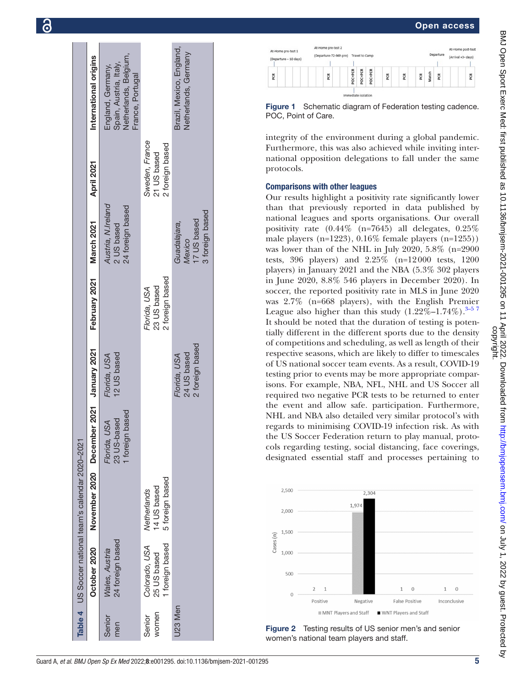

**P** 



Figure 1 Schematic diagram of Federation testing cadence. POC, Point of Care.

integrity of the environment during a global pandemic. Furthermore, this was also achieved while inviting international opposition delegations to fall under the same protocols.

#### Comparisons with other leagues

Our results highlight a positivity rate significantly lower than that previously reported in data published by national leagues and sports organisations. Our overall positivity rate (0.44% (n=7645) all delegates, 0.25% male players  $(n=1223)$ ,  $0.16\%$  female players  $(n=1255)$ ) was lower than of the NHL in July 2020, 5.8% (n=2900 tests, 396 players) and 2.25% (n=12000 tests, 1200 players) in January 2021 and the NBA (5.3% 302 players in June 2020, 8.8% 546 players in December 2020). In soccer, the reported positivity rate in MLS in June 2020 was 2.7% (n=668 players), with the English Premier League also higher than this study  $(1.22\% - 1.74\%)$ .<sup>3–57</sup> It should be noted that the duration of testing is potentially different in the different sports due to the density of competitions and scheduling, as well as length of their respective seasons, which are likely to differ to timescales of US national soccer team events. As a result, COVID-19 testing prior to events may be more appropriate comparisons. For example, NBA, NFL, NHL and US Soccer all required two negative PCR tests to be returned to enter the event and allow safe. participation. Furthermore, NHL and NBA also detailed very similar protocol's with regards to minimising COVID-19 infection risk. As with the US Soccer Federation return to play manual, protocols regarding testing, social distancing, face coverings, designated essential staff and processes pertaining to



<span id="page-4-0"></span>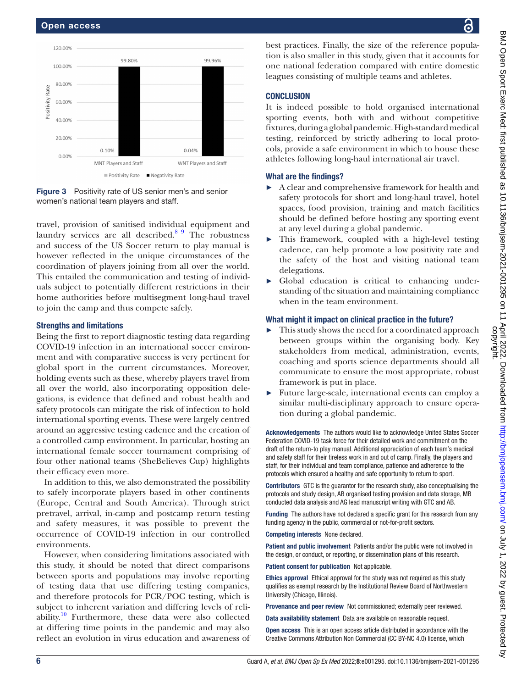

Figure 3 Positivity rate of US senior men's and senior women's national team players and staff.

travel, provision of sanitised individual equipment and laundry services are all described.<sup>8 9</sup> The robustness and success of the US Soccer return to play manual is however reflected in the unique circumstances of the coordination of players joining from all over the world. This entailed the communication and testing of individuals subject to potentially different restrictions in their home authorities before multisegment long-haul travel to join the camp and thus compete safely.

#### Strengths and limitations

Being the first to report diagnostic testing data regarding COVID-19 infection in an international soccer environment and with comparative success is very pertinent for global sport in the current circumstances. Moreover, holding events such as these, whereby players travel from all over the world, also incorporating opposition delegations, is evidence that defined and robust health and safety protocols can mitigate the risk of infection to hold international sporting events. These were largely centred around an aggressive testing cadence and the creation of a controlled camp environment. In particular, hosting an international female soccer tournament comprising of four other national teams (SheBelieves Cup) highlights their efficacy even more.

In addition to this, we also demonstrated the possibility to safely incorporate players based in other continents (Europe, Central and South America). Through strict pretravel, arrival, in-camp and postcamp return testing and safety measures, it was possible to prevent the occurrence of COVID-19 infection in our controlled environments.

However, when considering limitations associated with this study, it should be noted that direct comparisons between sports and populations may involve reporting of testing data that use differing testing companies, and therefore protocols for PCR/POC testing, which is subject to inherent variation and differing levels of reli-ability.<sup>[10](#page-6-5)</sup> Furthermore, these data were also collected at differing time points in the pandemic and may also reflect an evolution in virus education and awareness of

best practices. Finally, the size of the reference population is also smaller in this study, given that it accounts for one national federation compared with entire domestic leagues consisting of multiple teams and athletes.

#### **CONCLUSION**

It is indeed possible to hold organised international sporting events, both with and without competitive fixtures, during a global pandemic. High-standard medical testing, reinforced by strictly adhering to local protocols, provide a safe environment in which to house these athletes following long-haul international air travel.

#### What are the findings?

- ► A clear and comprehensive framework for health and safety protocols for short and long-haul travel, hotel spaces, food provision, training and match facilities should be defined before hosting any sporting event at any level during a global pandemic.
- ► This framework, coupled with a high-level testing cadence, can help promote a low positivity rate and the safety of the host and visiting national team delegations.
- Global education is critical to enhancing understanding of the situation and maintaining compliance when in the team environment.

### What might it impact on clinical practice in the future?

- This study shows the need for a coordinated approach between groups within the organising body. Key stakeholders from medical, administration, events, coaching and sports science departments should all communicate to ensure the most appropriate, robust framework is put in place.
- ► Future large-scale, international events can employ a similar multi-disciplinary approach to ensure operation during a global pandemic.

Acknowledgements The authors would like to acknowledge United States Soccer Federation COVID-19 task force for their detailed work and commitment on the draft of the return-to play manual. Additional appreciation of each team's medical and safety staff for their tireless work in and out of camp. Finally, the players and staff, for their individual and team compliance, patience and adherence to the protocols which ensured a healthy and safe opportunity to return to sport.

Contributors GTC is the guarantor for the research study, also conceptualising the protocols and study design, AB organised testing provision and data storage, MB conducted data analysis and AG lead manuscript writing with GTC and AB.

Funding The authors have not declared a specific grant for this research from any funding agency in the public, commercial or not-for-profit sectors.

Competing interests None declared.

Patient and public involvement Patients and/or the public were not involved in the design, or conduct, or reporting, or dissemination plans of this research.

Patient consent for publication Not applicable.

Ethics approval Ethical approval for the study was not required as this study qualifies as exempt research by the Institutional Review Board of Northwestern University (Chicago, Illinois).

Provenance and peer review Not commissioned; externally peer reviewed.

Data availability statement Data are available on reasonable request.

Open access This is an open access article distributed in accordance with the Creative Commons Attribution Non Commercial (CC BY-NC 4.0) license, which